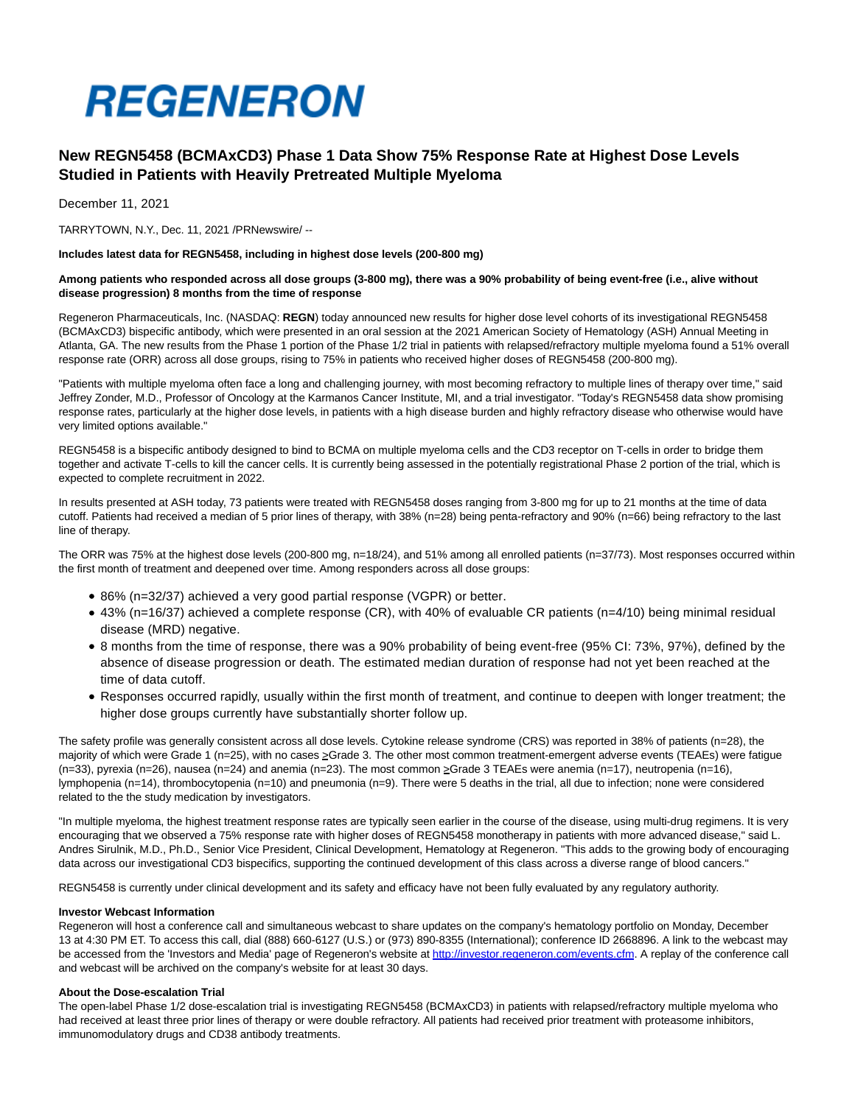

# **New REGN5458 (BCMAxCD3) Phase 1 Data Show 75% Response Rate at Highest Dose Levels Studied in Patients with Heavily Pretreated Multiple Myeloma**

December 11, 2021

TARRYTOWN, N.Y., Dec. 11, 2021 /PRNewswire/ --

#### **Includes latest data for REGN5458, including in highest dose levels (200-800 mg)**

#### **Among patients who responded across all dose groups (3-800 mg), there was a 90% probability of being event-free (i.e., alive without disease progression) 8 months from the time of response**

Regeneron Pharmaceuticals, Inc. (NASDAQ: **REGN**) today announced new results for higher dose level cohorts of its investigational REGN5458 (BCMAxCD3) bispecific antibody, which were presented in an oral session at the 2021 American Society of Hematology (ASH) Annual Meeting in Atlanta, GA. The new results from the Phase 1 portion of the Phase 1/2 trial in patients with relapsed/refractory multiple myeloma found a 51% overall response rate (ORR) across all dose groups, rising to 75% in patients who received higher doses of REGN5458 (200-800 mg).

"Patients with multiple myeloma often face a long and challenging journey, with most becoming refractory to multiple lines of therapy over time," said Jeffrey Zonder, M.D., Professor of Oncology at the Karmanos Cancer Institute, MI, and a trial investigator. "Today's REGN5458 data show promising response rates, particularly at the higher dose levels, in patients with a high disease burden and highly refractory disease who otherwise would have very limited options available."

REGN5458 is a bispecific antibody designed to bind to BCMA on multiple myeloma cells and the CD3 receptor on T-cells in order to bridge them together and activate T-cells to kill the cancer cells. It is currently being assessed in the potentially registrational Phase 2 portion of the trial, which is expected to complete recruitment in 2022.

In results presented at ASH today, 73 patients were treated with REGN5458 doses ranging from 3-800 mg for up to 21 months at the time of data cutoff. Patients had received a median of 5 prior lines of therapy, with 38% (n=28) being penta-refractory and 90% (n=66) being refractory to the last line of therapy.

The ORR was 75% at the highest dose levels (200-800 mg, n=18/24), and 51% among all enrolled patients (n=37/73). Most responses occurred within the first month of treatment and deepened over time. Among responders across all dose groups:

- 86% (n=32/37) achieved a very good partial response (VGPR) or better.
- 43% (n=16/37) achieved a complete response (CR), with 40% of evaluable CR patients (n=4/10) being minimal residual disease (MRD) negative.
- 8 months from the time of response, there was a 90% probability of being event-free (95% CI: 73%, 97%), defined by the absence of disease progression or death. The estimated median duration of response had not yet been reached at the time of data cutoff.
- Responses occurred rapidly, usually within the first month of treatment, and continue to deepen with longer treatment; the higher dose groups currently have substantially shorter follow up.

The safety profile was generally consistent across all dose levels. Cytokine release syndrome (CRS) was reported in 38% of patients (n=28), the majority of which were Grade 1 (n=25), with no cases ≥Grade 3. The other most common treatment-emergent adverse events (TEAEs) were fatigue  $(n=33)$ , pyrexia  $(n=26)$ , nausea  $(n=24)$  and anemia  $(n=23)$ . The most common  $\geq$  Grade 3 TEAEs were anemia  $(n=17)$ , neutropenia  $(n=16)$ , lymphopenia (n=14), thrombocytopenia (n=10) and pneumonia (n=9). There were 5 deaths in the trial, all due to infection; none were considered related to the the study medication by investigators.

"In multiple myeloma, the highest treatment response rates are typically seen earlier in the course of the disease, using multi-drug regimens. It is very encouraging that we observed a 75% response rate with higher doses of REGN5458 monotherapy in patients with more advanced disease," said L. Andres Sirulnik, M.D., Ph.D., Senior Vice President, Clinical Development, Hematology at Regeneron. "This adds to the growing body of encouraging data across our investigational CD3 bispecifics, supporting the continued development of this class across a diverse range of blood cancers."

REGN5458 is currently under clinical development and its safety and efficacy have not been fully evaluated by any regulatory authority.

#### **Investor Webcast Information**

Regeneron will host a conference call and simultaneous webcast to share updates on the company's hematology portfolio on Monday, December 13 at 4:30 PM ET. To access this call, dial (888) 660-6127 (U.S.) or (973) 890-8355 (International); conference ID 2668896. A link to the webcast may be accessed from the 'Investors and Media' page of Regeneron's website at http://jnvestor.regeneron.com/events.cfm. A replay of the conference call and webcast will be archived on the company's website for at least 30 days.

#### **About the Dose-escalation Trial**

The open-label Phase 1/2 dose-escalation trial is investigating REGN5458 (BCMAxCD3) in patients with relapsed/refractory multiple myeloma who had received at least three prior lines of therapy or were double refractory. All patients had received prior treatment with proteasome inhibitors, immunomodulatory drugs and CD38 antibody treatments.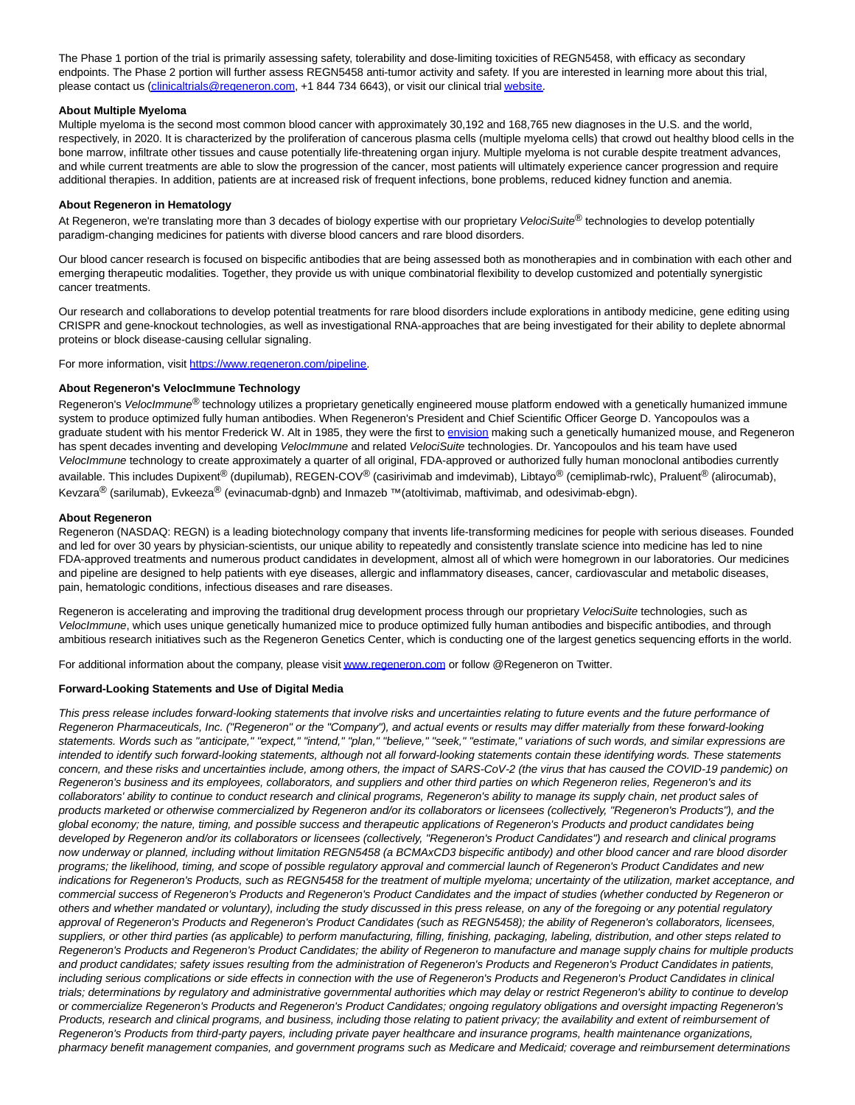The Phase 1 portion of the trial is primarily assessing safety, tolerability and dose-limiting toxicities of REGN5458, with efficacy as secondary endpoints. The Phase 2 portion will further assess REGN5458 anti-tumor activity and safety. If you are interested in learning more about this trial, please contact us [\(clinicaltrials@regeneron.com,](mailto:clinicaltrials@regeneron.com) +1 844 734 6643), or visit our clinical tria[l website.](https://c212.net/c/link/?t=0&l=en&o=3386998-1&h=2454651934&u=https%3A%2F%2Fclinicaltrials.regeneron.com%2Fs%2F&a=website)

## **About Multiple Myeloma**

Multiple myeloma is the second most common blood cancer with approximately 30,192 and 168,765 new diagnoses in the U.S. and the world, respectively, in 2020. It is characterized by the proliferation of cancerous plasma cells (multiple myeloma cells) that crowd out healthy blood cells in the bone marrow, infiltrate other tissues and cause potentially life-threatening organ injury. Multiple myeloma is not curable despite treatment advances, and while current treatments are able to slow the progression of the cancer, most patients will ultimately experience cancer progression and require additional therapies. In addition, patients are at increased risk of frequent infections, bone problems, reduced kidney function and anemia.

## **About Regeneron in Hematology**

At Regeneron, we're translating more than 3 decades of biology expertise with our proprietary VelociSuite® technologies to develop potentially paradigm-changing medicines for patients with diverse blood cancers and rare blood disorders.

Our blood cancer research is focused on bispecific antibodies that are being assessed both as monotherapies and in combination with each other and emerging therapeutic modalities. Together, they provide us with unique combinatorial flexibility to develop customized and potentially synergistic cancer treatments.

Our research and collaborations to develop potential treatments for rare blood disorders include explorations in antibody medicine, gene editing using CRISPR and gene-knockout technologies, as well as investigational RNA-approaches that are being investigated for their ability to deplete abnormal proteins or block disease-causing cellular signaling.

For more information, visit [https://www.regeneron.com/pipeline.](https://c212.net/c/link/?t=0&l=en&o=3386998-1&h=1570655889&u=https%3A%2F%2Fwww.regeneron.com%2Fpipeline&a=https%3A%2F%2Fwww.regeneron.com%2Fpipeline)

# **About Regeneron's VelocImmune Technology**

Regeneron's VelocImmune<sup>®</sup> technology utilizes a proprietary genetically engineered mouse platform endowed with a genetically humanized immune system to produce optimized fully human antibodies. When Regeneron's President and Chief Scientific Officer George D. Yancopoulos was a graduate student with his mentor Frederick W. Alt in 1985, they were the first to [envision m](https://c212.net/c/link/?t=0&l=en&o=3386998-1&h=1685369390&u=https%3A%2F%2Fwww.sciencedirect.com%2Fscience%2Farticle%2Fabs%2Fpii%2F0168952585900897&a=envision)aking such a genetically humanized mouse, and Regeneron has spent decades inventing and developing VelocImmune and related VelociSuite technologies. Dr. Yancopoulos and his team have used VelocImmune technology to create approximately a quarter of all original, FDA-approved or authorized fully human monoclonal antibodies currently available. This includes Dupixent® (dupilumab), REGEN-COV® (casirivimab and imdevimab), Libtayo® (cemiplimab-rwlc), Praluent<sup>®</sup> (alirocumab), Kevzara® (sarilumab), Evkeeza® (evinacumab-dgnb) and Inmazeb ™ (atoltivimab, maftivimab, and odesivimab-ebgn).

## **About Regeneron**

Regeneron (NASDAQ: REGN) is a leading biotechnology company that invents life-transforming medicines for people with serious diseases. Founded and led for over 30 years by physician-scientists, our unique ability to repeatedly and consistently translate science into medicine has led to nine FDA-approved treatments and numerous product candidates in development, almost all of which were homegrown in our laboratories. Our medicines and pipeline are designed to help patients with eye diseases, allergic and inflammatory diseases, cancer, cardiovascular and metabolic diseases, pain, hematologic conditions, infectious diseases and rare diseases.

Regeneron is accelerating and improving the traditional drug development process through our proprietary VelociSuite technologies, such as VelocImmune, which uses unique genetically humanized mice to produce optimized fully human antibodies and bispecific antibodies, and through ambitious research initiatives such as the Regeneron Genetics Center, which is conducting one of the largest genetics sequencing efforts in the world.

For additional information about the company, please visi[t www.regeneron.com o](https://c212.net/c/link/?t=0&l=en&o=3386998-1&h=530017484&u=https%3A%2F%2Fwww.regeneron.com%2F&a=www.regeneron.com)r follow @Regeneron on Twitter.

# **Forward-Looking Statements and Use of Digital Media**

This press release includes forward-looking statements that involve risks and uncertainties relating to future events and the future performance of Regeneron Pharmaceuticals, Inc. ("Regeneron" or the "Company"), and actual events or results may differ materially from these forward-looking statements. Words such as "anticipate," "expect," "intend," "plan," "believe," "seek," "estimate," variations of such words, and similar expressions are intended to identify such forward-looking statements, although not all forward-looking statements contain these identifying words. These statements concern, and these risks and uncertainties include, among others, the impact of SARS-CoV-2 (the virus that has caused the COVID-19 pandemic) on Regeneron's business and its employees, collaborators, and suppliers and other third parties on which Regeneron relies, Regeneron's and its collaborators' ability to continue to conduct research and clinical programs, Regeneron's ability to manage its supply chain, net product sales of products marketed or otherwise commercialized by Regeneron and/or its collaborators or licensees (collectively, "Regeneron's Products"), and the global economy; the nature, timing, and possible success and therapeutic applications of Regeneron's Products and product candidates being developed by Regeneron and/or its collaborators or licensees (collectively, "Regeneron's Product Candidates") and research and clinical programs now underway or planned, including without limitation REGN5458 (a BCMAxCD3 bispecific antibody) and other blood cancer and rare blood disorder programs; the likelihood, timing, and scope of possible regulatory approval and commercial launch of Regeneron's Product Candidates and new indications for Regeneron's Products, such as REGN5458 for the treatment of multiple myeloma; uncertainty of the utilization, market acceptance, and commercial success of Regeneron's Products and Regeneron's Product Candidates and the impact of studies (whether conducted by Regeneron or others and whether mandated or voluntary), including the study discussed in this press release, on any of the foregoing or any potential regulatory approval of Regeneron's Products and Regeneron's Product Candidates (such as REGN5458); the ability of Regeneron's collaborators, licensees, suppliers, or other third parties (as applicable) to perform manufacturing, filling, finishing, packaging, labeling, distribution, and other steps related to Regeneron's Products and Regeneron's Product Candidates; the ability of Regeneron to manufacture and manage supply chains for multiple products and product candidates; safety issues resulting from the administration of Regeneron's Products and Regeneron's Product Candidates in patients, including serious complications or side effects in connection with the use of Regeneron's Products and Regeneron's Product Candidates in clinical trials; determinations by regulatory and administrative governmental authorities which may delay or restrict Regeneron's ability to continue to develop or commercialize Regeneron's Products and Regeneron's Product Candidates; ongoing regulatory obligations and oversight impacting Regeneron's Products, research and clinical programs, and business, including those relating to patient privacy; the availability and extent of reimbursement of Regeneron's Products from third-party payers, including private payer healthcare and insurance programs, health maintenance organizations, pharmacy benefit management companies, and government programs such as Medicare and Medicaid; coverage and reimbursement determinations